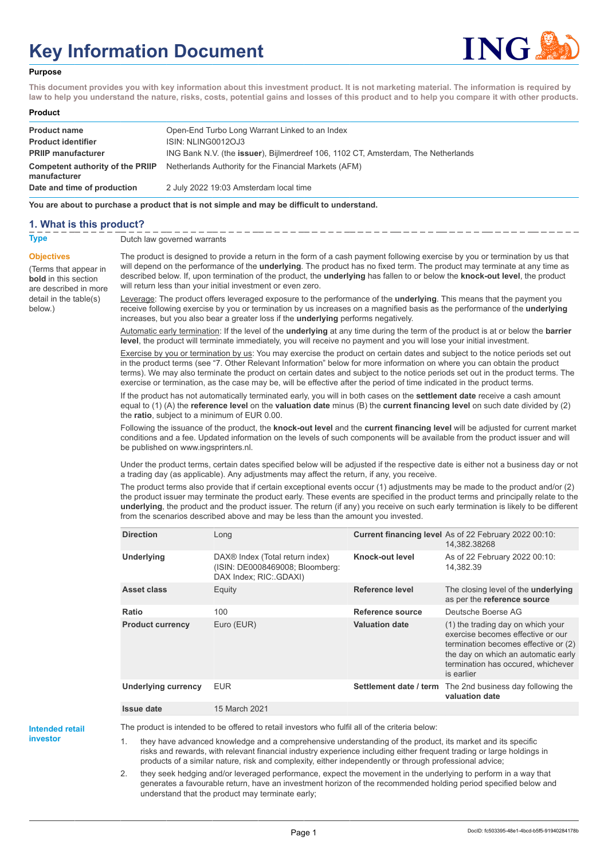# **Key Information Document**



#### **Purpose**

**This document provides you with key information about this investment product. It is not marketing material. The information is required by law to help you understand the nature, risks, costs, potential gains and losses of this product and to help you compare it with other products.**

#### **Product**

| <b>Product name</b>                              | Open-End Turbo Long Warrant Linked to an Index                                            |
|--------------------------------------------------|-------------------------------------------------------------------------------------------|
| <b>Product identifier</b>                        | ISIN: NLING0012OJ3                                                                        |
| <b>PRIIP manufacturer</b>                        | ING Bank N.V. (the <b>issuer</b> ), Bijlmerdreef 106, 1102 CT, Amsterdam, The Netherlands |
| Competent authority of the PRIIP<br>manufacturer | Netherlands Authority for the Financial Markets (AFM)                                     |
| Date and time of production                      | 2 July 2022 19:03 Amsterdam local time                                                    |

**You are about to purchase a product that is not simple and may be difficult to understand.**

## **1. What is this product?**

**Objectives**

below.)

(Terms that appear in **bold** in this section are described in more detail in the table(s)

**Type** Dutch law governed warrants

The product is designed to provide a return in the form of a cash payment following exercise by you or termination by us that will depend on the performance of the **underlying**. The product has no fixed term. The product may terminate at any time as described below. If, upon termination of the product, the **underlying** has fallen to or below the **knock-out level**, the product will return less than your initial investment or even zero.

Leverage: The product offers leveraged exposure to the performance of the **underlying**. This means that the payment you receive following exercise by you or termination by us increases on a magnified basis as the performance of the **underlying** increases, but you also bear a greater loss if the **underlying** performs negatively.

Automatic early termination: If the level of the **underlying** at any time during the term of the product is at or below the **barrier level**, the product will terminate immediately, you will receive no payment and you will lose your initial investment.

Exercise by you or termination by us: You may exercise the product on certain dates and subject to the notice periods set out in the product terms (see "7. Other Relevant Information" below for more information on where you can obtain the product terms). We may also terminate the product on certain dates and subject to the notice periods set out in the product terms. The exercise or termination, as the case may be, will be effective after the period of time indicated in the product terms.

If the product has not automatically terminated early, you will in both cases on the **settlement date** receive a cash amount equal to (1) (A) the **reference level** on the **valuation date** minus (B) the **current financing level** on such date divided by (2) the **ratio**, subject to a minimum of EUR 0.00.

Following the issuance of the product, the **knock-out level** and the **current financing level** will be adjusted for current market conditions and a fee. Updated information on the levels of such components will be available from the product issuer and will be published on www.ingsprinters.nl.

Under the product terms, certain dates specified below will be adjusted if the respective date is either not a business day or not a trading day (as applicable). Any adjustments may affect the return, if any, you receive.

The product terms also provide that if certain exceptional events occur (1) adjustments may be made to the product and/or (2) the product issuer may terminate the product early. These events are specified in the product terms and principally relate to the **underlying**, the product and the product issuer. The return (if any) you receive on such early termination is likely to be different from the scenarios described above and may be less than the amount you invested.

| <b>Direction</b>           | Long                                                                                         |                        | Current financing level As of 22 February 2022 00:10:<br>14.382.38268                                                                                                                                     |
|----------------------------|----------------------------------------------------------------------------------------------|------------------------|-----------------------------------------------------------------------------------------------------------------------------------------------------------------------------------------------------------|
| <b>Underlying</b>          | DAX® Index (Total return index)<br>(ISIN: DE0008469008; Bloomberg:<br>DAX Index; RIC: GDAXI) | Knock-out level        | As of 22 February 2022 00:10:<br>14.382.39                                                                                                                                                                |
| <b>Asset class</b>         | Equity                                                                                       | Reference level        | The closing level of the <b>underlying</b><br>as per the reference source                                                                                                                                 |
| Ratio                      | 100                                                                                          | Reference source       | Deutsche Boerse AG                                                                                                                                                                                        |
| <b>Product currency</b>    | Euro (EUR)                                                                                   | <b>Valuation date</b>  | (1) the trading day on which your<br>exercise becomes effective or our<br>termination becomes effective or (2)<br>the day on which an automatic early<br>termination has occured, whichever<br>is earlier |
| <b>Underlying currency</b> | <b>EUR</b>                                                                                   | Settlement date / term | The 2nd business day following the<br>valuation date                                                                                                                                                      |
| <b>Issue date</b>          | 15 March 2021                                                                                |                        |                                                                                                                                                                                                           |

**Intended retail investor**

The product is intended to be offered to retail investors who fulfil all of the criteria below:

1. they have advanced knowledge and a comprehensive understanding of the product, its market and its specific risks and rewards, with relevant financial industry experience including either frequent trading or large holdings in products of a similar nature, risk and complexity, either independently or through professional advice;

2. they seek hedging and/or leveraged performance, expect the movement in the underlying to perform in a way that generates a favourable return, have an investment horizon of the recommended holding period specified below and understand that the product may terminate early;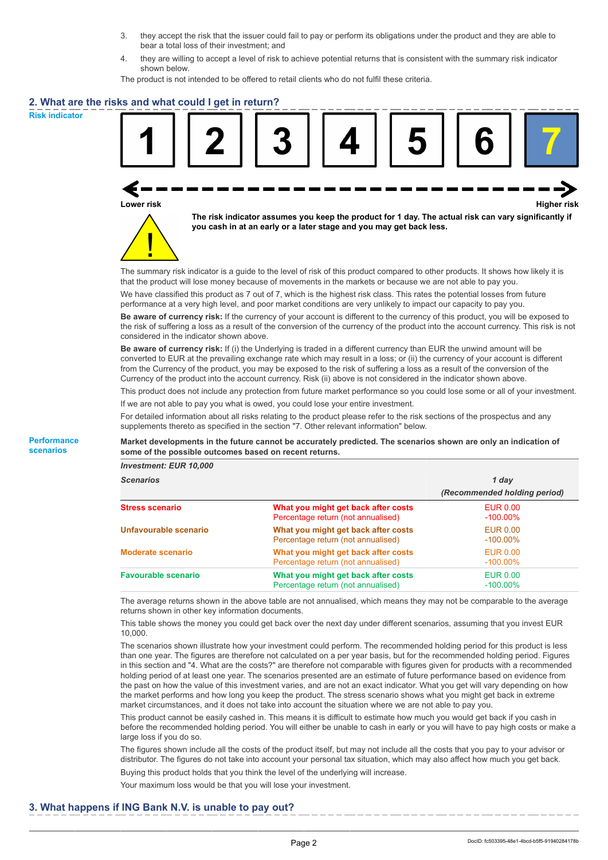- 3. they accept the risk that the issuer could fail to pay or perform its obligations under the product and they are able to bear a total loss of their investment; and
- 4. they are willing to accept a level of risk to achieve potential returns that is consistent with the summary risk indicator shown below.

The product is not intended to be offered to retail clients who do not fulfil these criteria.

## **2. What are the risks and what could I get in return?**

**Risk indicator**

**Performance scenarios**



**Lower risk Higher risk**



**The risk indicator assumes you keep the product for 1 day. The actual risk can vary significantly if you cash in at an early or a later stage and you may get back less.**

The summary risk indicator is a guide to the level of risk of this product compared to other products. It shows how likely it is that the product will lose money because of movements in the markets or because we are not able to pay you.

We have classified this product as 7 out of 7, which is the highest risk class. This rates the potential losses from future performance at a very high level, and poor market conditions are very unlikely to impact our capacity to pay you.

**Be aware of currency risk:** If the currency of your account is different to the currency of this product, you will be exposed to the risk of suffering a loss as a result of the conversion of the currency of the product into the account currency. This risk is not considered in the indicator shown above.

**Be aware of currency risk:** If (i) the Underlying is traded in a different currency than EUR the unwind amount will be converted to EUR at the prevailing exchange rate which may result in a loss; or (ii) the currency of your account is different from the Currency of the product, you may be exposed to the risk of suffering a loss as a result of the conversion of the Currency of the product into the account currency. Risk (ii) above is not considered in the indicator shown above.

This product does not include any protection from future market performance so you could lose some or all of your investment. If we are not able to pay you what is owed, you could lose your entire investment.

For detailed information about all risks relating to the product please refer to the risk sections of the prospectus and any supplements thereto as specified in the section "7. Other relevant information" below.

**Market developments in the future cannot be accurately predicted. The scenarios shown are only an indication of some of the possible outcomes based on recent returns.**

*Investment: EUR 10,000*

| <b>Scenarios</b>           |                                                                           | 1 day                          |  |
|----------------------------|---------------------------------------------------------------------------|--------------------------------|--|
|                            |                                                                           | (Recommended holding period)   |  |
| <b>Stress scenario</b>     | What you might get back after costs<br>Percentage return (not annualised) | <b>EUR 0.00</b><br>$-100.00\%$ |  |
| Unfavourable scenario      | What you might get back after costs<br>Percentage return (not annualised) | <b>EUR 0.00</b><br>$-100.00\%$ |  |
| <b>Moderate scenario</b>   | What you might get back after costs<br>Percentage return (not annualised) | <b>EUR 0.00</b><br>$-100.00\%$ |  |
| <b>Favourable scenario</b> | What you might get back after costs<br>Percentage return (not annualised) | <b>EUR 0.00</b><br>$-100.00\%$ |  |

The average returns shown in the above table are not annualised, which means they may not be comparable to the average returns shown in other key information documents.

This table shows the money you could get back over the next day under different scenarios, assuming that you invest EUR 10,000.

The scenarios shown illustrate how your investment could perform. The recommended holding period for this product is less than one year. The figures are therefore not calculated on a per year basis, but for the recommended holding period. Figures in this section and "4. What are the costs?" are therefore not comparable with figures given for products with a recommended holding period of at least one year. The scenarios presented are an estimate of future performance based on evidence from the past on how the value of this investment varies, and are not an exact indicator. What you get will vary depending on how the market performs and how long you keep the product. The stress scenario shows what you might get back in extreme market circumstances, and it does not take into account the situation where we are not able to pay you.

This product cannot be easily cashed in. This means it is difficult to estimate how much you would get back if you cash in before the recommended holding period. You will either be unable to cash in early or you will have to pay high costs or make a large loss if you do so.

The figures shown include all the costs of the product itself, but may not include all the costs that you pay to your advisor or distributor. The figures do not take into account your personal tax situation, which may also affect how much you get back.

Buying this product holds that you think the level of the underlying will increase.

Your maximum loss would be that you will lose your investment.

## **3. What happens if ING Bank N.V. is unable to pay out?**